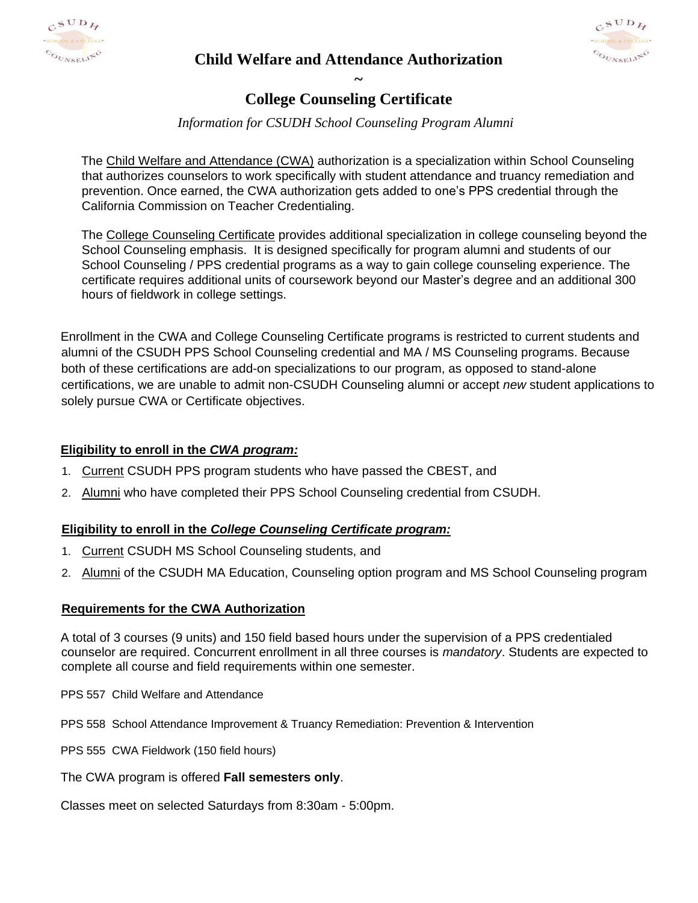

**~**



# **College Counseling Certificate**

# *Information for CSUDH School Counseling Program Alumni*

The Child Welfare and Attendance (CWA) authorization is a specialization within School Counseling that authorizes counselors to work specifically with student attendance and truancy remediation and prevention. Once earned, the CWA authorization gets added to one's PPS credential through the California Commission on Teacher Credentialing.

The College Counseling Certificate provides additional specialization in college counseling beyond the School Counseling emphasis. It is designed specifically for program alumni and students of our School Counseling / PPS credential programs as a way to gain college counseling experience. The certificate requires additional units of coursework beyond our Master's degree and an additional 300 hours of fieldwork in college settings.

Enrollment in the CWA and College Counseling Certificate programs is restricted to current students and alumni of the CSUDH PPS School Counseling credential and MA / MS Counseling programs. Because both of these certifications are add-on specializations to our program, as opposed to stand-alone certifications, we are unable to admit non-CSUDH Counseling alumni or accept *new* student applications to solely pursue CWA or Certificate objectives.

## **Eligibility to enroll in the** *CWA program:*

- 1. Current CSUDH PPS program students who have passed the CBEST, and
- 2. Alumni who have completed their PPS School Counseling credential from CSUDH.

## **Eligibility to enroll in the** *College Counseling Certificate program:*

- 1. Current CSUDH MS School Counseling students, and
- 2. Alumni of the CSUDH MA Education, Counseling option program and MS School Counseling program

#### **Requirements for the CWA Authorization**

A total of 3 courses (9 units) and 150 field based hours under the supervision of a PPS credentialed counselor are required. Concurrent enrollment in all three courses is *mandatory*. Students are expected to complete all course and field requirements within one semester.

PPS 557 Child Welfare and Attendance

PPS 558 School Attendance Improvement & Truancy Remediation: Prevention & Intervention

PPS 555 CWA Fieldwork (150 field hours)

The CWA program is offered **Fall semesters only**.

Classes meet on selected Saturdays from 8:30am - 5:00pm.